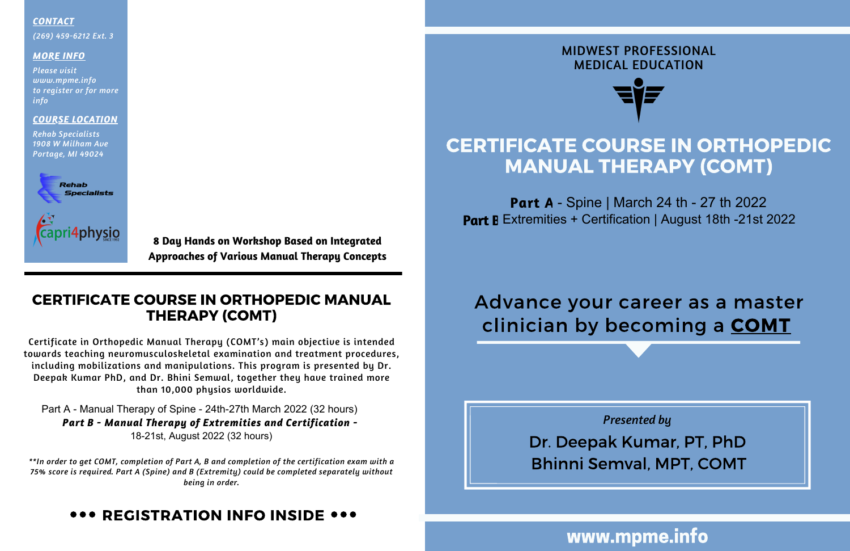## CERTIFICATE COURSE IN ORTHOPEDIC MANUAL THERAPY (COMT)

**Part A** - Spine | March 24 th - 27 th 2022 **Part B** Extremities + Certification | August 18th -21st 2022

### MIDWEST PROFESSIONAL MEDICAL EDUCATION



Dr. Deepak Kumar, PT, PhD *Presented by* Bhinni Semval, MPT, COMT

# Advance your career as a master clinician by becoming a **COMT**

## www.mpme.info

### *COURSE LOCATION*

*Rehab Specialists 1908 W Milham Ave Portage, MI 49024*



#### *CONTACT*

*(269) 459-6212 Ext. 3*

### *MORE INFO*

*Please visit www.mpme.info to register or for more info*

> **8 Day Hands on Workshop Based on Integrated Approaches of Various Manual Therapy Concepts**

## CERTIFICATE COURSE IN ORTHOPEDIC MANUAL THERAPY (COMT)

Part A - Manual Therapy of Spine - 24th-27th March 2022 (32 hours) *Part B - Manual Therapy of Extremities and Certification - 15-18th October 2020 (31 hours)* 18-21st, August 2022 (32 hours)

Certificate in Orthopedic Manual Therapy (COMT's) main objective is intended towards teaching neuromusculoskeletal examination and treatment procedures, including mobilizations and manipulations. This program is presented by Dr. Deepak Kumar PhD, and Dr. Bhini Semwal, together they have trained more than 10,000 physios worldwide.

*\*\*In order to get COMT, completion of Part A, B and completion of the certification exam with a 75% score is required. Part A (Spine) and B (Extremity) could be completed separately without being in order.*

## REGISTRATION INFO INSIDE ...